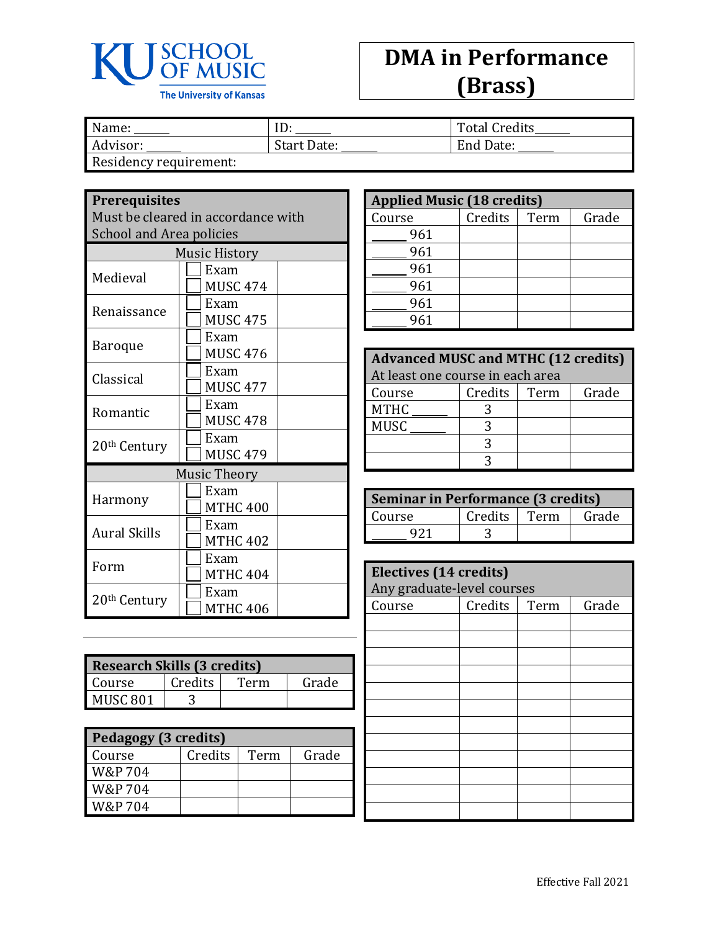

## **DMA in Performance (Brass)**

| Name:                  | ID          | <b>Total Credits</b> |
|------------------------|-------------|----------------------|
| Advisor:               | Start Date: | End Date:            |
| Residency requirement: |             |                      |

**Prerequisites**

Must be cleared in accordance with School and Area policies

| <b>Music History</b>     |                     |  |
|--------------------------|---------------------|--|
| Medieval                 | Exam                |  |
|                          | MUSC 474            |  |
| Renaissance              | Exam                |  |
|                          | <b>MUSC 475</b>     |  |
| Baroque                  | Exam                |  |
|                          | MUSC 476            |  |
| Classical                | Exam                |  |
|                          | MUSC 477            |  |
| Romantic                 | Exam                |  |
|                          | <b>MUSC 478</b>     |  |
| 20 <sup>th</sup> Century | Exam                |  |
|                          | <b>MUSC 479</b>     |  |
|                          | <b>Music Theory</b> |  |
|                          | Exam                |  |
| Harmony                  | <b>MTHC 400</b>     |  |
| <b>Aural Skills</b>      | Exam                |  |
|                          | <b>MTHC 402</b>     |  |
|                          | Exam                |  |
| Form                     | <b>MTHC 404</b>     |  |
|                          | Exam                |  |
| 20 <sup>th</sup> Century | <b>MTHC 406</b>     |  |

| <b>Research Skills (3 credits)</b> |         |      |       |
|------------------------------------|---------|------|-------|
| Course                             | Credits | Term | Grade |
| MUSC <sub>801</sub>                |         |      |       |

| Pedagogy (3 credits) |         |      |       |
|----------------------|---------|------|-------|
| Course               | Credits | Term | Grade |
| W&P 704              |         |      |       |
| W&P 704              |         |      |       |
| W&P 704              |         |      |       |

| <b>Applied Music (18 credits)</b> |         |      |       |
|-----------------------------------|---------|------|-------|
| Course                            | Credits | Term | Grade |
| 961                               |         |      |       |
| 961                               |         |      |       |
| 961                               |         |      |       |
| 961                               |         |      |       |
| 961                               |         |      |       |
| 961                               |         |      |       |

| <b>Advanced MUSC and MTHC (12 credits)</b> |         |      |       |
|--------------------------------------------|---------|------|-------|
| At least one course in each area           |         |      |       |
| Course                                     | Credits | Term | Grade |
| <b>MTHC</b>                                |         |      |       |
| <b>MUSC</b>                                |         |      |       |
|                                            |         |      |       |
|                                            |         |      |       |

| <b>Seminar in Performance (3 credits)</b> |              |  |       |
|-------------------------------------------|--------------|--|-------|
| Course                                    | Credits Term |  | Grade |
| Q71                                       |              |  |       |

| <b>Electives (14 credits)</b><br>Any graduate-level courses |         |      |       |
|-------------------------------------------------------------|---------|------|-------|
| Course                                                      | Credits | Term | Grade |
|                                                             |         |      |       |
|                                                             |         |      |       |
|                                                             |         |      |       |
|                                                             |         |      |       |
|                                                             |         |      |       |
|                                                             |         |      |       |
|                                                             |         |      |       |
|                                                             |         |      |       |
|                                                             |         |      |       |
|                                                             |         |      |       |
|                                                             |         |      |       |
|                                                             |         |      |       |